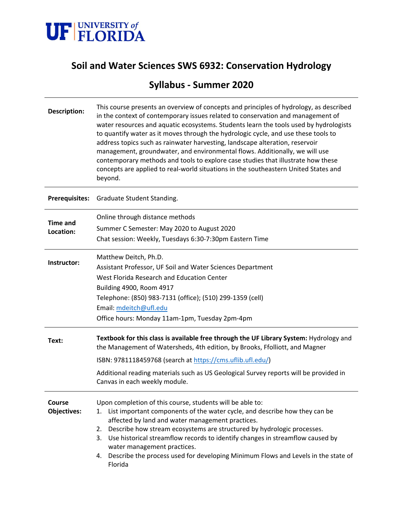

# **Soil and Water Sciences SWS 6932: Conservation Hydrology**

# **Syllabus - Summer 2020**

| <b>Description:</b>          | This course presents an overview of concepts and principles of hydrology, as described<br>in the context of contemporary issues related to conservation and management of<br>water resources and aquatic ecosystems. Students learn the tools used by hydrologists<br>to quantify water as it moves through the hydrologic cycle, and use these tools to<br>address topics such as rainwater harvesting, landscape alteration, reservoir<br>management, groundwater, and environmental flows. Additionally, we will use<br>contemporary methods and tools to explore case studies that illustrate how these<br>concepts are applied to real-world situations in the southeastern United States and<br>beyond. |  |  |  |  |  |  |  |  |
|------------------------------|---------------------------------------------------------------------------------------------------------------------------------------------------------------------------------------------------------------------------------------------------------------------------------------------------------------------------------------------------------------------------------------------------------------------------------------------------------------------------------------------------------------------------------------------------------------------------------------------------------------------------------------------------------------------------------------------------------------|--|--|--|--|--|--|--|--|
| Prerequisites:               | Graduate Student Standing.                                                                                                                                                                                                                                                                                                                                                                                                                                                                                                                                                                                                                                                                                    |  |  |  |  |  |  |  |  |
| <b>Time and</b><br>Location: | Online through distance methods<br>Summer C Semester: May 2020 to August 2020<br>Chat session: Weekly, Tuesdays 6:30-7:30pm Eastern Time                                                                                                                                                                                                                                                                                                                                                                                                                                                                                                                                                                      |  |  |  |  |  |  |  |  |
| Instructor:                  | Matthew Deitch, Ph.D.<br>Assistant Professor, UF Soil and Water Sciences Department<br>West Florida Research and Education Center<br>Building 4900, Room 4917<br>Telephone: (850) 983-7131 (office); (510) 299-1359 (cell)<br>Email: mdeitch@ufl.edu<br>Office hours: Monday 11am-1pm, Tuesday 2pm-4pm                                                                                                                                                                                                                                                                                                                                                                                                        |  |  |  |  |  |  |  |  |
| Text:                        | Textbook for this class is available free through the UF Library System: Hydrology and<br>the Management of Watersheds, 4th edition, by Brooks, Ffolliott, and Magner<br>ISBN: 9781118459768 (search at https://cms.uflib.ufl.edu/)<br>Additional reading materials such as US Geological Survey reports will be provided in<br>Canvas in each weekly module.                                                                                                                                                                                                                                                                                                                                                 |  |  |  |  |  |  |  |  |
| Course<br><b>Objectives:</b> | Upon completion of this course, students will be able to:<br>List important components of the water cycle, and describe how they can be<br>1.<br>affected by land and water management practices.<br>Describe how stream ecosystems are structured by hydrologic processes.<br>2.<br>Use historical streamflow records to identify changes in streamflow caused by<br>3.<br>water management practices.<br>Describe the process used for developing Minimum Flows and Levels in the state of<br>4.<br>Florida                                                                                                                                                                                                 |  |  |  |  |  |  |  |  |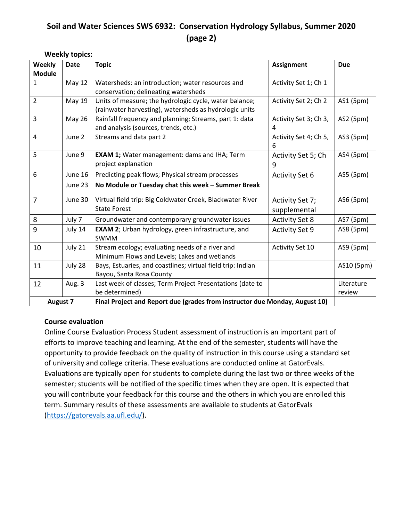# **Soil and Water Sciences SWS 6932: Conservation Hydrology Syllabus, Summer 2020 (page 2)**

**Weekly topics:**

| Weekly          | <b>Date</b>                                                             | <b>Topic</b><br><b>Assignment</b>                                           |                       |            |  |  |  |
|-----------------|-------------------------------------------------------------------------|-----------------------------------------------------------------------------|-----------------------|------------|--|--|--|
| <b>Module</b>   |                                                                         |                                                                             |                       |            |  |  |  |
| $\mathbf{1}$    | <b>May 12</b>                                                           | Watersheds: an introduction; water resources and                            | Activity Set 1; Ch 1  |            |  |  |  |
|                 |                                                                         | conservation; delineating watersheds                                        |                       |            |  |  |  |
| $\overline{2}$  | May 19                                                                  | Units of measure; the hydrologic cycle, water balance;                      | Activity Set 2; Ch 2  | AS1 (5pm)  |  |  |  |
|                 |                                                                         | (rainwater harvesting), watersheds as hydrologic units                      |                       |            |  |  |  |
| 3               | <b>May 26</b><br>Rainfall frequency and planning; Streams, part 1: data |                                                                             | Activity Set 3; Ch 3, | AS2 (5pm)  |  |  |  |
|                 |                                                                         | and analysis (sources, trends, etc.)                                        | 4                     |            |  |  |  |
| $\overline{4}$  | June 2                                                                  | Streams and data part 2                                                     | Activity Set 4; Ch 5, | AS3 (5pm)  |  |  |  |
|                 |                                                                         |                                                                             | 6                     |            |  |  |  |
| 5               | June 9                                                                  | <b>EXAM 1;</b> Water management: dams and IHA; Term                         | Activity Set 5; Ch    | AS4 (5pm)  |  |  |  |
|                 |                                                                         | project explanation                                                         | 9                     |            |  |  |  |
| 6               | June 16                                                                 | Predicting peak flows; Physical stream processes                            | <b>Activity Set 6</b> | AS5 (5pm)  |  |  |  |
|                 | June 23                                                                 | No Module or Tuesday chat this week - Summer Break                          |                       |            |  |  |  |
| 7               | June 30                                                                 | Virtual field trip: Big Coldwater Creek, Blackwater River                   | Activity Set 7;       | AS6 (5pm)  |  |  |  |
|                 |                                                                         | <b>State Forest</b>                                                         | supplemental          |            |  |  |  |
| 8               | July 7                                                                  | Groundwater and contemporary groundwater issues                             | <b>Activity Set 8</b> | AS7 (5pm)  |  |  |  |
| 9               | July 14                                                                 | EXAM 2; Urban hydrology, green infrastructure, and                          | <b>Activity Set 9</b> | AS8 (5pm)  |  |  |  |
|                 |                                                                         | <b>SWMM</b>                                                                 |                       |            |  |  |  |
| 10              | July 21                                                                 | Stream ecology; evaluating needs of a river and                             | Activity Set 10       | AS9 (5pm)  |  |  |  |
|                 |                                                                         | Minimum Flows and Levels; Lakes and wetlands                                |                       |            |  |  |  |
| 11              | July 28                                                                 | Bays, Estuaries, and coastlines; virtual field trip: Indian                 |                       | AS10 (5pm) |  |  |  |
|                 |                                                                         | Bayou, Santa Rosa County                                                    |                       |            |  |  |  |
| 12              | Aug. 3                                                                  | Last week of classes; Term Project Presentations (date to                   |                       | Literature |  |  |  |
|                 |                                                                         | be determined)                                                              |                       | review     |  |  |  |
| <b>August 7</b> |                                                                         | Final Project and Report due (grades from instructor due Monday, August 10) |                       |            |  |  |  |

#### **Course evaluation**

Online Course Evaluation Process Student assessment of instruction is an important part of efforts to improve teaching and learning. At the end of the semester, students will have the opportunity to provide feedback on the quality of instruction in this course using a standard set of university and college criteria. These evaluations are conducted online at GatorEvals. Evaluations are typically open for students to complete during the last two or three weeks of the semester; students will be notified of the specific times when they are open. It is expected that you will contribute your feedback for this course and the others in which you are enrolled this term. Summary results of these assessments are available to students at GatorEvals [\(https://gatorevals.aa.ufl.edu/\)](https://gatorevals.aa.ufl.edu/).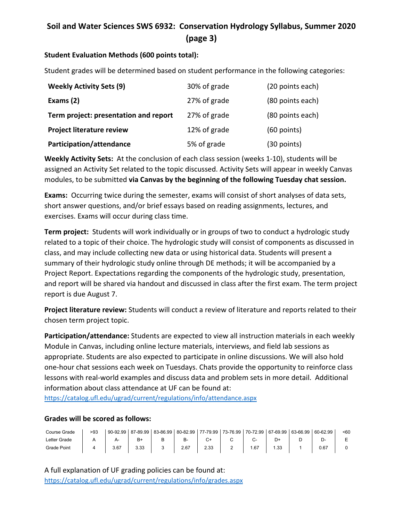# **Soil and Water Sciences SWS 6932: Conservation Hydrology Syllabus, Summer 2020 (page 3)**

### **Student Evaluation Methods (600 points total):**

Student grades will be determined based on student performance in the following categories:

| <b>Weekly Activity Sets (9)</b>       | 30% of grade | (20 points each) |  |  |
|---------------------------------------|--------------|------------------|--|--|
| Exams $(2)$                           | 27% of grade | (80 points each) |  |  |
| Term project: presentation and report | 27% of grade | (80 points each) |  |  |
| <b>Project literature review</b>      | 12% of grade | $(60$ points)    |  |  |
| Participation/attendance              | 5% of grade  | (30 points)      |  |  |

**Weekly Activity Sets:** At the conclusion of each class session (weeks 1-10), students will be assigned an Activity Set related to the topic discussed. Activity Sets will appear in weekly Canvas modules, to be submitted **via Canvas by the beginning of the following Tuesday chat session.**

**Exams:** Occurring twice during the semester, exams will consist of short analyses of data sets, short answer questions, and/or brief essays based on reading assignments, lectures, and exercises. Exams will occur during class time.

**Term project:** Students will work individually or in groups of two to conduct a hydrologic study related to a topic of their choice. The hydrologic study will consist of components as discussed in class, and may include collecting new data or using historical data. Students will present a summary of their hydrologic study online through DE methods; it will be accompanied by a Project Report. Expectations regarding the components of the hydrologic study, presentation, and report will be shared via handout and discussed in class after the first exam. The term project report is due August 7.

**Project literature review:** Students will conduct a review of literature and reports related to their chosen term project topic.

**Participation/attendance:** Students are expected to view all instruction materials in each weekly Module in Canvas, including online lecture materials, interviews, and field lab sessions as appropriate. Students are also expected to participate in online discussions. We will also hold one-hour chat sessions each week on Tuesdays. Chats provide the opportunity to reinforce class lessons with real-world examples and discuss data and problem sets in more detail. Additional information about class attendance at UF can be found at:

<https://catalog.ufl.edu/ugrad/current/regulations/info/attendance.aspx>

#### **Grades will be scored as follows:**

| Course Grade | >93 | 90-92.99 | 87-89.99 | 83-86.99 |      |      | 80-82.99   77-79.99   73-76.99   70-72.99   67-69.99 | 63-66.99 | 60-62.99 | $50 - 60$ |
|--------------|-----|----------|----------|----------|------|------|------------------------------------------------------|----------|----------|-----------|
| Letter Grade |     |          |          |          |      |      |                                                      |          |          |           |
| Grade Point  |     | 3.67     | 3.33     |          | 2.67 | 2.33 | .67                                                  |          | 0.67     |           |

A full explanation of UF grading policies can be found at: <https://catalog.ufl.edu/ugrad/current/regulations/info/grades.aspx>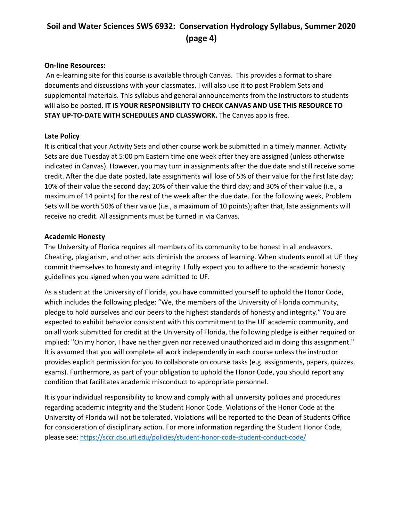# **Soil and Water Sciences SWS 6932: Conservation Hydrology Syllabus, Summer 2020 (page 4)**

#### **On-line Resources:**

An e-learning site for this course is available through Canvas. This provides a format to share documents and discussions with your classmates. I will also use it to post Problem Sets and supplemental materials. This syllabus and general announcements from the instructors to students will also be posted. **IT IS YOUR RESPONSIBILITY TO CHECK CANVAS AND USE THIS RESOURCE TO STAY UP-TO-DATE WITH SCHEDULES AND CLASSWORK.** The Canvas app is free.

#### **Late Policy**

It is critical that your Activity Sets and other course work be submitted in a timely manner. Activity Sets are due Tuesday at 5:00 pm Eastern time one week after they are assigned (unless otherwise indicated in Canvas). However, you may turn in assignments after the due date and still receive some credit. After the due date posted, late assignments will lose of 5% of their value for the first late day; 10% of their value the second day; 20% of their value the third day; and 30% of their value (i.e., a maximum of 14 points) for the rest of the week after the due date. For the following week, Problem Sets will be worth 50% of their value (i.e., a maximum of 10 points); after that, late assignments will receive no credit. All assignments must be turned in via Canvas.

#### **Academic Honesty**

The University of Florida requires all members of its community to be honest in all endeavors. Cheating, plagiarism, and other acts diminish the process of learning. When students enroll at UF they commit themselves to honesty and integrity. I fully expect you to adhere to the academic honesty guidelines you signed when you were admitted to UF.

As a student at the University of Florida, you have committed yourself to uphold the Honor Code, which includes the following pledge: "We, the members of the University of Florida community, pledge to hold ourselves and our peers to the highest standards of honesty and integrity." You are expected to exhibit behavior consistent with this commitment to the UF academic community, and on all work submitted for credit at the University of Florida, the following pledge is either required or implied: "On my honor, I have neither given nor received unauthorized aid in doing this assignment." It is assumed that you will complete all work independently in each course unless the instructor provides explicit permission for you to collaborate on course tasks (e.g. assignments, papers, quizzes, exams). Furthermore, as part of your obligation to uphold the Honor Code, you should report any condition that facilitates academic misconduct to appropriate personnel.

It is your individual responsibility to know and comply with all university policies and procedures regarding academic integrity and the Student Honor Code. Violations of the Honor Code at the University of Florida will not be tolerated. Violations will be reported to the Dean of Students Office for consideration of disciplinary action. For more information regarding the Student Honor Code, please see: <https://sccr.dso.ufl.edu/policies/student-honor-code-student-conduct-code/>